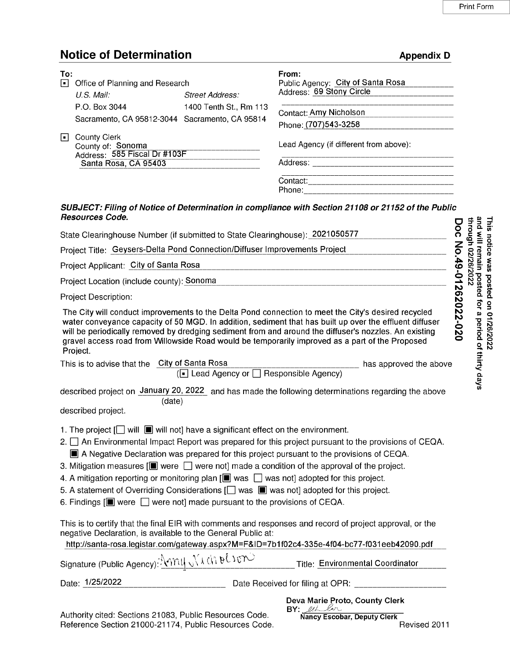## **Notice of Determination**

|               | <b>Notice of Determination</b>                                                                                                                                                                                       |                                                  | <b>Appendix D</b>                                                                                                                                                                                                                                                                                                                                                                                                                                                                                                                    |                                                                           |
|---------------|----------------------------------------------------------------------------------------------------------------------------------------------------------------------------------------------------------------------|--------------------------------------------------|--------------------------------------------------------------------------------------------------------------------------------------------------------------------------------------------------------------------------------------------------------------------------------------------------------------------------------------------------------------------------------------------------------------------------------------------------------------------------------------------------------------------------------------|---------------------------------------------------------------------------|
| To:<br>同<br>Ш | Office of Planning and Research<br>U.S. Mail:<br>P.O. Box 3044<br>Sacramento, CA 95812-3044 Sacramento, CA 95814<br><b>County Clerk</b><br>County of: Sonoma<br>Address: 585 Fiscal Dr #103F<br>Santa Rosa, CA 95403 | <b>Street Address:</b><br>1400 Tenth St., Rm 113 | From:<br>Public Agency: City of Santa Rosa<br>Address: 69 Stony Circle<br>Contact: Amy Nicholson<br>Phone: (707)543-3258<br>Lead Agency (if different from above):<br><u> 1980 - Jan James James James James James James James Ja</u>                                                                                                                                                                                                                                                                                                |                                                                           |
|               |                                                                                                                                                                                                                      |                                                  |                                                                                                                                                                                                                                                                                                                                                                                                                                                                                                                                      |                                                                           |
|               | <b>Resources Code.</b>                                                                                                                                                                                               |                                                  | SUBJECT: Filing of Notice of Determination in compliance with Section 21108 or 21152 of the Public                                                                                                                                                                                                                                                                                                                                                                                                                                   |                                                                           |
|               | State Clearinghouse Number (if submitted to State Clearinghouse): 2021050577                                                                                                                                         |                                                  |                                                                                                                                                                                                                                                                                                                                                                                                                                                                                                                                      | and will remain<br>through 02/26/202<br><b>This</b>                       |
|               | Project Title: Geysers-Delta Pond Connection/Diffuser Improvements Project                                                                                                                                           |                                                  |                                                                                                                                                                                                                                                                                                                                                                                                                                                                                                                                      |                                                                           |
|               | Project Applicant: City of Santa Rosa                                                                                                                                                                                |                                                  |                                                                                                                                                                                                                                                                                                                                                                                                                                                                                                                                      | notice was                                                                |
|               | Project Location (include county): Sonoma                                                                                                                                                                            |                                                  |                                                                                                                                                                                                                                                                                                                                                                                                                                                                                                                                      |                                                                           |
|               | Project Description:                                                                                                                                                                                                 |                                                  |                                                                                                                                                                                                                                                                                                                                                                                                                                                                                                                                      | posted on                                                                 |
|               | Project.<br>This is to advise that the City of Santa Rosa                                                                                                                                                            |                                                  | The City will conduct improvements to the Delta Pond connection to meet the City's desired recycled<br>water conveyance capacity of 50 MGD. In addition, sediment that has built up over the effluent diffuser<br>will be periodically removed by dredging sediment from and around the diffuser's nozzles. An existing<br>gravel access road from Willowside Road would be temporarily improved as a part of the Proposed<br>has approved the above                                                                                 | oc No.49-01262022-020<br>posted for a period of thirty days<br>01/26/2022 |
|               |                                                                                                                                                                                                                      | (a) Lead Agency or $\Box$ Responsible Agency)    |                                                                                                                                                                                                                                                                                                                                                                                                                                                                                                                                      |                                                                           |
|               | (date)<br>described project.                                                                                                                                                                                         |                                                  | described project on January 20, 2022 and has made the following determinations regarding the above                                                                                                                                                                                                                                                                                                                                                                                                                                  |                                                                           |
|               | 1. The project $[\ ]$ will $[\ ]$ will not] have a significant effect on the environment.<br>6. Findings $[\blacksquare]$ were $\Box$ were not] made pursuant to the provisions of CEQA.                             |                                                  | 2. $\Box$ An Environmental Impact Report was prepared for this project pursuant to the provisions of CEQA.<br>A Negative Declaration was prepared for this project pursuant to the provisions of CEQA.<br>3. Mitigation measures $[\blacksquare]$ were $\Box$ were not] made a condition of the approval of the project.<br>4. A mitigation reporting or monitoring plan $[\blacksquare$ was $\Box$ was not] adopted for this project.<br>5. A statement of Overriding Considerations [ ] was [ ] was not] adopted for this project. |                                                                           |
|               | negative Declaration, is available to the General Public at:                                                                                                                                                         |                                                  | This is to certify that the final EIR with comments and responses and record of project approval, or the<br>http://santa-rosa.legistar.com/gateway.aspx?M=F&ID=7b1f02c4-335e-4f04-bc77-f031eeb42090.pdf                                                                                                                                                                                                                                                                                                                              |                                                                           |
|               | Signature (Public Agency): Annu Nach Bloom                                                                                                                                                                           |                                                  | Title: Environmental Coordinator                                                                                                                                                                                                                                                                                                                                                                                                                                                                                                     |                                                                           |
|               | Date: 1/25/2022                                                                                                                                                                                                      |                                                  | Date Received for filing at OPR: ______________________                                                                                                                                                                                                                                                                                                                                                                                                                                                                              |                                                                           |
|               |                                                                                                                                                                                                                      |                                                  | Deva Marie Proto, County Clerk<br>BY: estebar                                                                                                                                                                                                                                                                                                                                                                                                                                                                                        |                                                                           |
|               | Authority cited: Sections 21083, Public Resources Code.<br>Reference Section 21000-21174, Public Resources Code.                                                                                                     |                                                  | <b>Nancy Escobar, Deputy Clerk</b><br>Revised 2011                                                                                                                                                                                                                                                                                                                                                                                                                                                                                   |                                                                           |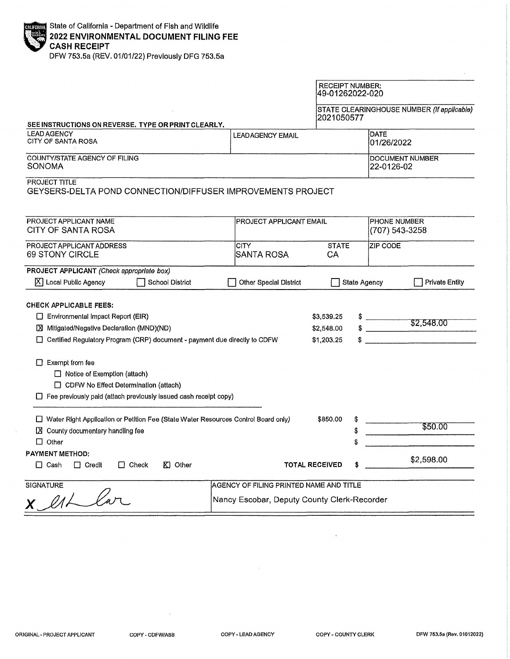| <b>CALIGRIAN</b> State of California - Department of Fish and Wildlife |
|------------------------------------------------------------------------|
| 2022 ENVIRONMENTAL DOCUMENT FILING FEE                                 |
|                                                                        |
| $F = F(1)$                                                             |

DFW 753.5a (REV, 01/01/22) Previously DFG 753.5a

|                                                                                                                                                                                                                                                                                                                                                                                  |                                                                                        | <b>RECEIPT NUMBER:</b><br>49-01262022-020 |                     |                                            |  |
|----------------------------------------------------------------------------------------------------------------------------------------------------------------------------------------------------------------------------------------------------------------------------------------------------------------------------------------------------------------------------------|----------------------------------------------------------------------------------------|-------------------------------------------|---------------------|--------------------------------------------|--|
| SEE INSTRUCTIONS ON REVERSE. TYPE OR PRINT CLEARLY.                                                                                                                                                                                                                                                                                                                              |                                                                                        | 2021050577                                |                     | STATE CLEARINGHOUSE NUMBER (If applicable) |  |
| <b>LEAD AGENCY</b><br>CITY OF SANTA ROSA                                                                                                                                                                                                                                                                                                                                         | <b>LEADAGENCY EMAIL</b>                                                                |                                           |                     | <b>DATE</b><br>01/26/2022                  |  |
| COUNTY/STATE AGENCY OF FILING<br>SONOMA                                                                                                                                                                                                                                                                                                                                          |                                                                                        | DOCUMENT NUMBER<br>22-0126-02             |                     |                                            |  |
| <b>PROJECT TITLE</b><br>GEYSERS-DELTA POND CONNECTION/DIFFUSER IMPROVEMENTS PROJECT                                                                                                                                                                                                                                                                                              |                                                                                        |                                           |                     |                                            |  |
| PROJECT APPLICANT NAME<br>CITY OF SANTA ROSA                                                                                                                                                                                                                                                                                                                                     | <b>PROJECT APPLICANT EMAIL</b>                                                         |                                           |                     | <b>PHONE NUMBER</b><br>(707) 543-3258      |  |
| PROJECT APPLICANT ADDRESS<br>69 STONY CIRCLE                                                                                                                                                                                                                                                                                                                                     | <b>CITY</b><br><b>SANTA ROSA</b>                                                       | <b>STATE</b><br>CA                        | <b>ZIP CODE</b>     |                                            |  |
| PROJECT APPLICANT (Check appropriate box)<br>$\boxed{\times}$ Local Public Agency<br>School District                                                                                                                                                                                                                                                                             | Other Special District                                                                 |                                           | <b>State Agency</b> | <b>Private Entity</b>                      |  |
| <b>CHECK APPLICABLE FEES:</b><br>□ Environmental Impact Report (EIR)<br>Mitigated/Negative Declaration (MND)(ND)<br>□ Certified Regulatory Program (CRP) document - payment due directly to CDFW<br>$\Box$ Exempt from fee<br>□ Notice of Exemption (attach)<br>CDFW No Effect Determination (attach)<br>$\Box$ Fee previously paid (attach previously issued cash recelpt copy) |                                                                                        | \$3,539.25<br>\$2,548,00<br>\$1,203.25    | \$                  | \$2,548.00                                 |  |
| □ Water Right Application or Petition Fee (State Water Resources Control Board only)<br>County documentary handling fee<br>צו<br>$\Box$ Other                                                                                                                                                                                                                                    |                                                                                        | \$850,00<br>\$                            | \$                  | \$50.00                                    |  |
| <b>PAYMENT METHOD:</b><br>$\Box$ Cash<br>$\Box$ Credit<br>$\Box$ Check<br>KI Other                                                                                                                                                                                                                                                                                               |                                                                                        | <b>TOTAL RECEIVED</b>                     |                     | \$2,598.00                                 |  |
| <b>SIGNATURE</b>                                                                                                                                                                                                                                                                                                                                                                 | AGENCY OF FILING PRINTED NAME AND TITLE<br>Nancy Escobar, Deputy County Clerk-Recorder |                                           |                     |                                            |  |

 $\bar{z}$ 

 $\alpha$ 

 $\bar{1}$